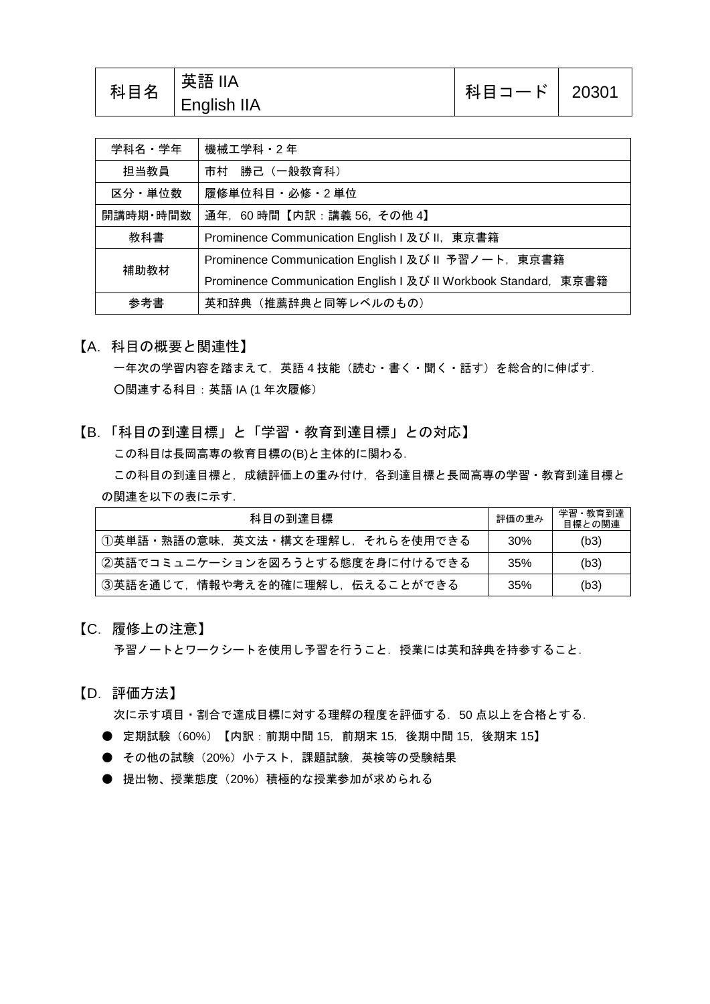| │科目コード│ 20301<br><b>English IIA</b> | 科目名 | │英語 IIA |  |  |
|-------------------------------------|-----|---------|--|--|
|-------------------------------------|-----|---------|--|--|

| 学科名・学年   | 機械工学科・2年                                                         |  |
|----------|------------------------------------------------------------------|--|
| 担当教員     | 市村 勝己 (一般教育科)                                                    |  |
| 区分・単位数   | 履修単位科目・必修・2 単位                                                   |  |
| 開講時期・時間数 | 通年, 60時間【内訳:講義 56, その他 4】                                        |  |
| 教科書      | Prominence Communication English I 及び II, 東京書籍                   |  |
| 補助教材     | Prominence Communication English I 及び II 予習ノート, 東京書籍             |  |
|          | Prominence Communication English I 及び II Workbook Standard, 東京書籍 |  |
| 参考書      | 英和辞典 (推薦辞典と同等レベルのもの)                                             |  |

【A.科目の概要と関連性】

一年次の学習内容を踏まえて,英語 4 技能(読む・書く・聞く・話す)を総合的に伸ばす. ○関連する科目:英語 IA (1 年次履修)

【B.「科目の到達目標」と「学習・教育到達目標」との対応】 この科目は長岡高専の教育目標の(B)と主体的に関わる.

この科目の到達目標と,成績評価上の重み付け,各到達目標と長岡高専の学習·教育到達目標と の関連を以下の表に示す.

| 科目の到達目標                         | 評価の重み | 学習・教育到達<br>目標との関連 |
|---------------------------------|-------|-------------------|
| ①英単語・熟語の意味、英文法・構文を理解し、それらを使用できる | 30%   | (b3)              |
| ②英語でコミュニケーションを図ろうとする態度を身に付けるできる | 35%   | (b3)              |
| ③英語を通じて,情報や考えを的確に理解し,伝えることができる  | 35%   | (b3)              |

【C.履修上の注意】

予習ノートとワークシートを使用し予習を行うこと. 授業には英和辞典を持参すること.

【D.評価方法】

次に示す項目・割合で達成目標に対する理解の程度を評価する. 50 点以上を合格とする.

- 定期試験 (60%) 【内訳: 前期中間 15, 前期末 15, 後期中間 15, 後期末 15】
- その他の試験 (20%) 小テスト,課題試験,英検等の受験結果
- 提出物、授業態度(20%)積極的な授業参加が求められる